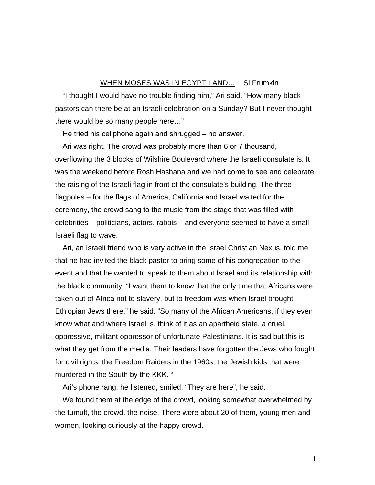## WHEN MOSES WAS IN EGYPT LAND... Si Frumkin

"I thought I would have no trouble finding him," Ari said. "How many black pastors can there be at an Israeli celebration on a Sunday? But I never thought there would be so many people here…"

He tried his cellphone again and shrugged – no answer.

Ari was right. The crowd was probably more than 6 or 7 thousand, overflowing the 3 blocks of Wilshire Boulevard where the Israeli consulate is. It was the weekend before Rosh Hashana and we had come to see and celebrate the raising of the Israeli flag in front of the consulate's building. The three flagpoles – for the flags of America, California and Israel waited for the ceremony, the crowd sang to the music from the stage that was filled with celebrities – politicians, actors, rabbis – and everyone seemed to have a small Israeli flag to wave.

Ari, an Israeli friend who is very active in the Israel Christian Nexus, told me that he had invited the black pastor to bring some of his congregation to the event and that he wanted to speak to them about Israel and its relationship with the black community. "I want them to know that the only time that Africans were taken out of Africa not to slavery, but to freedom was when Israel brought Ethiopian Jews there," he said. "So many of the African Americans, if they even know what and where Israel is, think of it as an apartheid state, a cruel, oppressive, militant oppressor of unfortunate Palestinians. It is sad but this is what they get from the media. Their leaders have forgotten the Jews who fought for civil rights, the Freedom Raiders in the 1960s, the Jewish kids that were murdered in the South by the KKK. "

Ari's phone rang, he listened, smiled. "They are here", he said.

We found them at the edge of the crowd, looking somewhat overwhelmed by the tumult, the crowd, the noise. There were about 20 of them, young men and women, looking curiously at the happy crowd.

1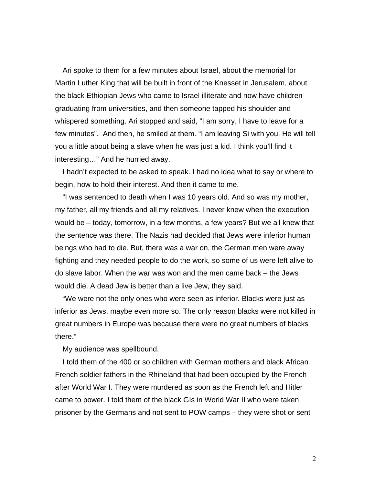Ari spoke to them for a few minutes about Israel, about the memorial for Martin Luther King that will be built in front of the Knesset in Jerusalem, about the black Ethiopian Jews who came to Israel illiterate and now have children graduating from universities, and then someone tapped his shoulder and whispered something. Ari stopped and said, "I am sorry, I have to leave for a few minutes". And then, he smiled at them. "I am leaving Si with you. He will tell you a little about being a slave when he was just a kid. I think you'll find it interesting…" And he hurried away.

I hadn't expected to be asked to speak. I had no idea what to say or where to begin, how to hold their interest. And then it came to me.

"I was sentenced to death when I was 10 years old. And so was my mother, my father, all my friends and all my relatives. I never knew when the execution would be – today, tomorrow, in a few months, a few years? But we all knew that the sentence was there. The Nazis had decided that Jews were inferior human beings who had to die. But, there was a war on, the German men were away fighting and they needed people to do the work, so some of us were left alive to do slave labor. When the war was won and the men came back – the Jews would die. A dead Jew is better than a live Jew, they said.

"We were not the only ones who were seen as inferior. Blacks were just as inferior as Jews, maybe even more so. The only reason blacks were not killed in great numbers in Europe was because there were no great numbers of blacks there."

My audience was spellbound.

I told them of the 400 or so children with German mothers and black African French soldier fathers in the Rhineland that had been occupied by the French after World War I. They were murdered as soon as the French left and Hitler came to power. I told them of the black GIs in World War II who were taken prisoner by the Germans and not sent to POW camps – they were shot or sent

2